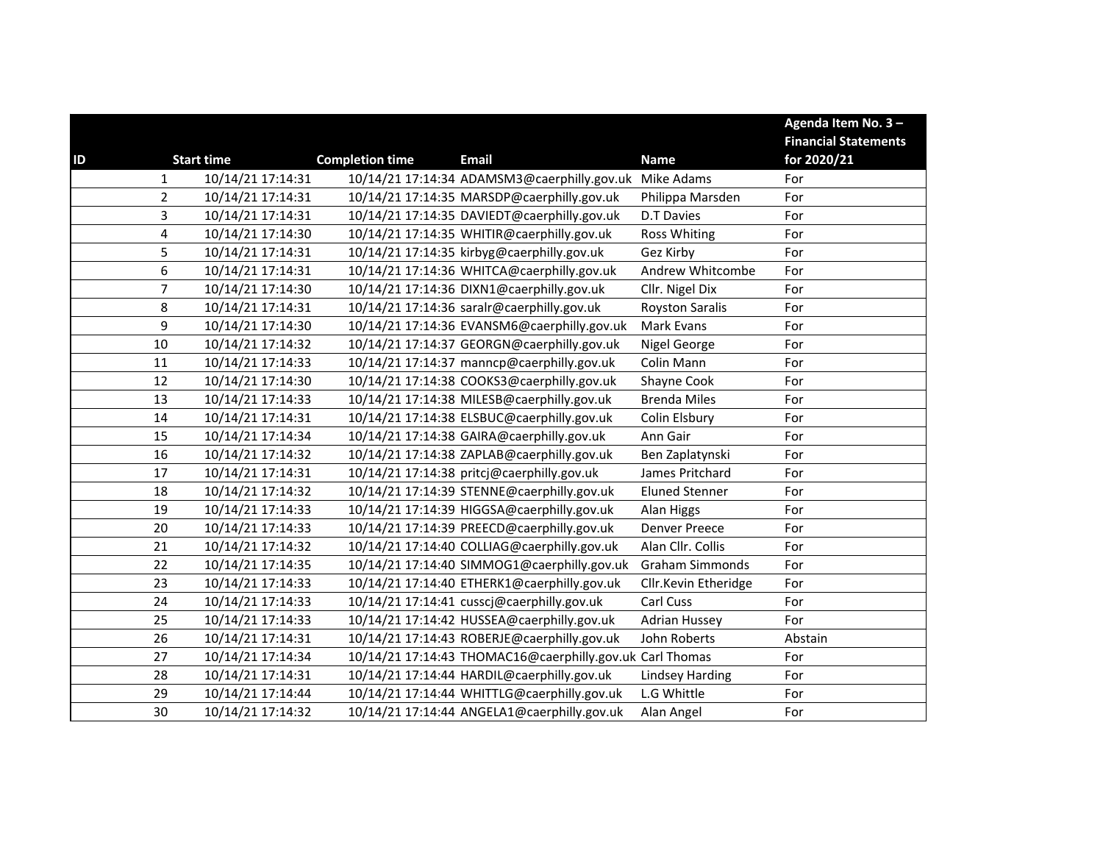|               |                         |                   |                        |                                                          |                        | Agenda Item No. 3-          |
|---------------|-------------------------|-------------------|------------------------|----------------------------------------------------------|------------------------|-----------------------------|
|               |                         |                   |                        |                                                          |                        | <b>Financial Statements</b> |
| $\mathsf{ID}$ |                         | <b>Start time</b> | <b>Completion time</b> | <b>Email</b>                                             | <b>Name</b>            | for 2020/21                 |
|               | $\mathbf{1}$            | 10/14/21 17:14:31 |                        | 10/14/21 17:14:34 ADAMSM3@caerphilly.gov.uk              | Mike Adams             | For                         |
|               | $\overline{2}$          | 10/14/21 17:14:31 |                        | 10/14/21 17:14:35 MARSDP@caerphilly.gov.uk               | Philippa Marsden       | For                         |
|               | 3                       | 10/14/21 17:14:31 |                        | 10/14/21 17:14:35 DAVIEDT@caerphilly.gov.uk              | <b>D.T Davies</b>      | For                         |
|               | $\overline{\mathbf{4}}$ | 10/14/21 17:14:30 |                        | 10/14/21 17:14:35 WHITIR@caerphilly.gov.uk               | <b>Ross Whiting</b>    | For                         |
|               | 5                       | 10/14/21 17:14:31 |                        | 10/14/21 17:14:35 kirbyg@caerphilly.gov.uk               | Gez Kirby              | For                         |
|               | $\boldsymbol{6}$        | 10/14/21 17:14:31 |                        | 10/14/21 17:14:36 WHITCA@caerphilly.gov.uk               | Andrew Whitcombe       | For                         |
|               | $\overline{7}$          | 10/14/21 17:14:30 |                        | 10/14/21 17:14:36 DIXN1@caerphilly.gov.uk                | Cllr. Nigel Dix        | For                         |
|               | 8                       | 10/14/21 17:14:31 |                        | 10/14/21 17:14:36 saralr@caerphilly.gov.uk               | <b>Royston Saralis</b> | For                         |
|               | $\boldsymbol{9}$        | 10/14/21 17:14:30 |                        | 10/14/21 17:14:36 EVANSM6@caerphilly.gov.uk              | Mark Evans             | For                         |
|               | 10                      | 10/14/21 17:14:32 |                        | 10/14/21 17:14:37 GEORGN@caerphilly.gov.uk               | Nigel George           | For                         |
|               | 11                      | 10/14/21 17:14:33 |                        | 10/14/21 17:14:37 manncp@caerphilly.gov.uk               | Colin Mann             | For                         |
|               | 12                      | 10/14/21 17:14:30 |                        | 10/14/21 17:14:38 COOKS3@caerphilly.gov.uk               | Shayne Cook            | For                         |
|               | 13                      | 10/14/21 17:14:33 |                        | 10/14/21 17:14:38 MILESB@caerphilly.gov.uk               | <b>Brenda Miles</b>    | For                         |
|               | 14                      | 10/14/21 17:14:31 |                        | 10/14/21 17:14:38 ELSBUC@caerphilly.gov.uk               | Colin Elsbury          | For                         |
|               | 15                      | 10/14/21 17:14:34 |                        | 10/14/21 17:14:38 GAIRA@caerphilly.gov.uk                | Ann Gair               | For                         |
|               | 16                      | 10/14/21 17:14:32 |                        | 10/14/21 17:14:38 ZAPLAB@caerphilly.gov.uk               | Ben Zaplatynski        | For                         |
|               | 17                      | 10/14/21 17:14:31 |                        | 10/14/21 17:14:38 pritcj@caerphilly.gov.uk               | James Pritchard        | For                         |
|               | 18                      | 10/14/21 17:14:32 |                        | 10/14/21 17:14:39 STENNE@caerphilly.gov.uk               | <b>Eluned Stenner</b>  | For                         |
|               | 19                      | 10/14/21 17:14:33 |                        | 10/14/21 17:14:39 HIGGSA@caerphilly.gov.uk               | Alan Higgs             | For                         |
|               | 20                      | 10/14/21 17:14:33 |                        | 10/14/21 17:14:39 PREECD@caerphilly.gov.uk               | <b>Denver Preece</b>   | For                         |
|               | 21                      | 10/14/21 17:14:32 |                        | 10/14/21 17:14:40 COLLIAG@caerphilly.gov.uk              | Alan Cllr. Collis      | For                         |
|               | 22                      | 10/14/21 17:14:35 |                        | 10/14/21 17:14:40 SIMMOG1@caerphilly.gov.uk              | <b>Graham Simmonds</b> | For                         |
|               | 23                      | 10/14/21 17:14:33 |                        | 10/14/21 17:14:40 ETHERK1@caerphilly.gov.uk              | Cllr.Kevin Etheridge   | For                         |
|               | 24                      | 10/14/21 17:14:33 |                        | 10/14/21 17:14:41 cusscj@caerphilly.gov.uk               | Carl Cuss              | For                         |
|               | 25                      | 10/14/21 17:14:33 |                        | 10/14/21 17:14:42 HUSSEA@caerphilly.gov.uk               | <b>Adrian Hussey</b>   | For                         |
|               | 26                      | 10/14/21 17:14:31 |                        | 10/14/21 17:14:43 ROBERJE@caerphilly.gov.uk              | John Roberts           | Abstain                     |
|               | 27                      | 10/14/21 17:14:34 |                        | 10/14/21 17:14:43 THOMAC16@caerphilly.gov.uk Carl Thomas |                        | For                         |
|               | 28                      | 10/14/21 17:14:31 |                        | 10/14/21 17:14:44 HARDIL@caerphilly.gov.uk               | <b>Lindsey Harding</b> | For                         |
|               | 29                      | 10/14/21 17:14:44 |                        | 10/14/21 17:14:44 WHITTLG@caerphilly.gov.uk              | L.G Whittle            | For                         |
|               | 30                      | 10/14/21 17:14:32 |                        | 10/14/21 17:14:44 ANGELA1@caerphilly.gov.uk              | Alan Angel             | For                         |